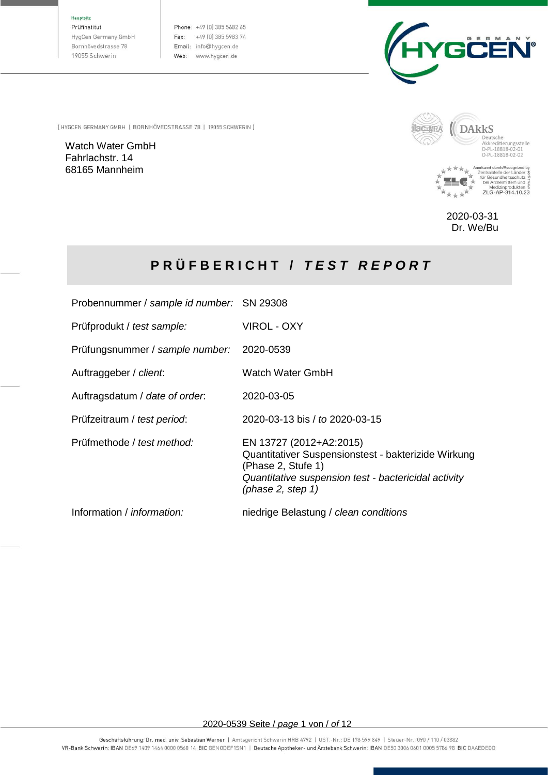#### Hauptsitz

Prüfinstitut HygCen Germany GmbH Bornhövedstrasse 78 19055 Schwerin

Phone: +49 (0) 385 5682 65 Fax: +49 (0) 385 5983 74 Email: info@hygcen.de Web: www.hygcen.de



[ HYGCEN GERMANY GMBH | BORNHÖVEDSTRASSE 78 | 19055 SCHWERIN ]

Watch Water GmbH Fahrlachstr. 14 68165 Mannheim



2020-03-31 Dr. We/Bu

# **P R Ü F B E R I C H T /** *T E S T R E P O R T*

| Probennummer / sample id number: SN 29308 |                                                                                                                                                                                         |
|-------------------------------------------|-----------------------------------------------------------------------------------------------------------------------------------------------------------------------------------------|
| Prüfprodukt / test sample:                | VIROL - OXY                                                                                                                                                                             |
| Prüfungsnummer / sample number:           | 2020-0539                                                                                                                                                                               |
| Auftraggeber / client.                    | Watch Water GmbH                                                                                                                                                                        |
| Auftragsdatum / date of order.            | 2020-03-05                                                                                                                                                                              |
| Prüfzeitraum / test period:               | 2020-03-13 bis / to 2020-03-15                                                                                                                                                          |
| Prüfmethode / test method:                | EN 13727 (2012+A2:2015)<br>Quantitativer Suspensionstest - bakterizide Wirkung<br>(Phase 2, Stufe 1)<br>Quantitative suspension test - bactericidal activity<br>(phase $2$ , step $1$ ) |
| Information / information:                | niedrige Belastung / clean conditions                                                                                                                                                   |

2020-0539 Seite / *page* 1 von / *of* 12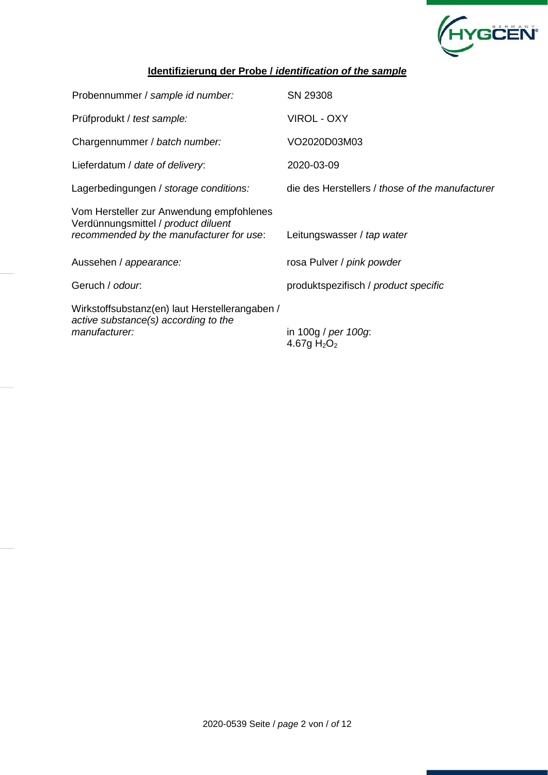

# **Identifizierung der Probe /** *identification of the sample*

| Probennummer / sample id number:                                                                                            | SN 29308                                        |
|-----------------------------------------------------------------------------------------------------------------------------|-------------------------------------------------|
| Prüfprodukt / test sample:                                                                                                  | <b>VIROL - OXY</b>                              |
| Chargennummer / batch number:                                                                                               | VO2020D03M03                                    |
| Lieferdatum / date of delivery:                                                                                             | 2020-03-09                                      |
| Lagerbedingungen / storage conditions:                                                                                      | die des Herstellers / those of the manufacturer |
| Vom Hersteller zur Anwendung empfohlenes<br>Verdünnungsmittel / product diluent<br>recommended by the manufacturer for use: | Leitungswasser / tap water                      |
| Aussehen / appearance:                                                                                                      | rosa Pulver / pink powder                       |
| Geruch / odour.                                                                                                             | produktspezifisch / product specific            |
| Wirkstoffsubstanz(en) laut Herstellerangaben /<br>active substance(s) according to the<br>manufacturer:                     | in 100g / per 100g:<br>4.67g $H_2O_2$           |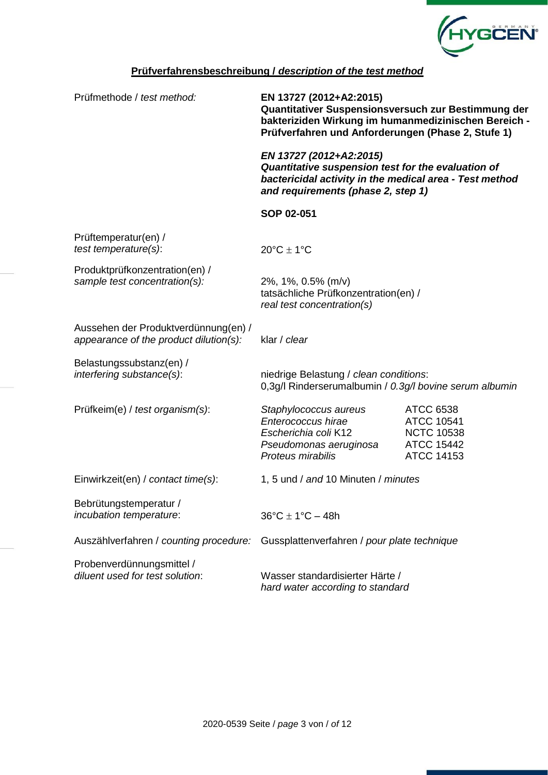

## **Prüfverfahrensbeschreibung /** *description of the test method*

| Prüfmethode / test method:                                                     | EN 13727 (2012+A2:2015)<br>Quantitativer Suspensionsversuch zur Bestimmung der<br>bakteriziden Wirkung im humanmedizinischen Bereich -<br>Prüfverfahren und Anforderungen (Phase 2, Stufe 1) |                                                                                                      |  |  |  |  |  |  |
|--------------------------------------------------------------------------------|----------------------------------------------------------------------------------------------------------------------------------------------------------------------------------------------|------------------------------------------------------------------------------------------------------|--|--|--|--|--|--|
|                                                                                | EN 13727 (2012+A2:2015)<br>Quantitative suspension test for the evaluation of<br>bactericidal activity in the medical area - Test method<br>and requirements (phase 2, step 1)               |                                                                                                      |  |  |  |  |  |  |
|                                                                                | SOP 02-051                                                                                                                                                                                   |                                                                                                      |  |  |  |  |  |  |
| Prüftemperatur(en) /<br>test temperature(s):                                   | $20^{\circ}$ C ± 1°C                                                                                                                                                                         |                                                                                                      |  |  |  |  |  |  |
| Produktprüfkonzentration(en) /<br>sample test concentration(s):                | 2%, 1%, 0.5% (m/v)<br>tatsächliche Prüfkonzentration(en) /<br>real test concentration(s)                                                                                                     |                                                                                                      |  |  |  |  |  |  |
| Aussehen der Produktverdünnung(en) /<br>appearance of the product dilution(s): | klar / clear                                                                                                                                                                                 |                                                                                                      |  |  |  |  |  |  |
| Belastungssubstanz(en) /<br>interfering substance(s):                          | niedrige Belastung / clean conditions:<br>0,3g/l Rinderserumalbumin / 0.3g/l bovine serum albumin                                                                                            |                                                                                                      |  |  |  |  |  |  |
| Prüfkeim(e) / test organism(s):                                                | Staphylococcus aureus<br>Enterococcus hirae<br>Escherichia coli K12<br>Pseudomonas aeruginosa<br>Proteus mirabilis                                                                           | <b>ATCC 6538</b><br><b>ATCC 10541</b><br><b>NCTC 10538</b><br><b>ATCC 15442</b><br><b>ATCC 14153</b> |  |  |  |  |  |  |
| Einwirkzeit(en) / contact time(s):                                             | 1, 5 und / and 10 Minuten / minutes                                                                                                                                                          |                                                                                                      |  |  |  |  |  |  |
| Bebrütungstemperatur /<br>incubation temperature:                              | $36^{\circ}$ C ± 1 $^{\circ}$ C – 48h                                                                                                                                                        |                                                                                                      |  |  |  |  |  |  |
| Auszählverfahren / counting procedure:                                         | Gussplattenverfahren / pour plate technique                                                                                                                                                  |                                                                                                      |  |  |  |  |  |  |
| Probenverdünnungsmittel /<br>diluent used for test solution:                   | Wasser standardisierter Härte /<br>hard water according to standard                                                                                                                          |                                                                                                      |  |  |  |  |  |  |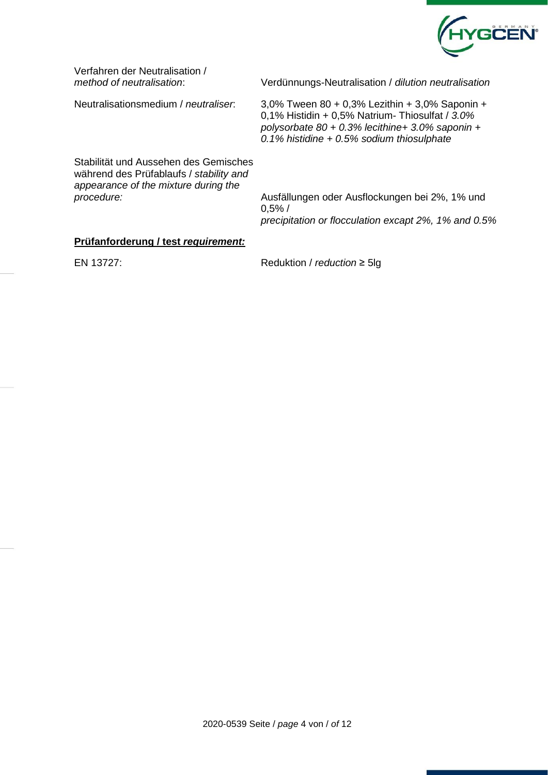

Verfahren der Neutralisation /<br>method of neutralisation:

*method of neutralisation*: Verdünnungs-Neutralisation / *dilution neutralisation*

Neutralisationsmedium / *neutraliser*: 3,0% Tween 80 + 0,3% Lezithin + 3,0% Saponin + 0,1% Histidin + 0,5% Natrium- Thiosulfat / *3.0% polysorbate 80 + 0.3% lecithine+ 3.0% saponin + 0.1% histidine + 0.5% sodium thiosulphate*

Stabilität und Aussehen des Gemisches während des Prüfablaufs / *stability and appearance of the mixture during the* 

*procedure:* Ausfällungen oder Ausflockungen bei 2%, 1% und 0,5% / *precipitation or flocculation excapt 2%, 1% and 0.5%*

#### **Prüfanforderung / test** *requirement:*

EN 13727: Reduktion / *reduction* ≥ 5lg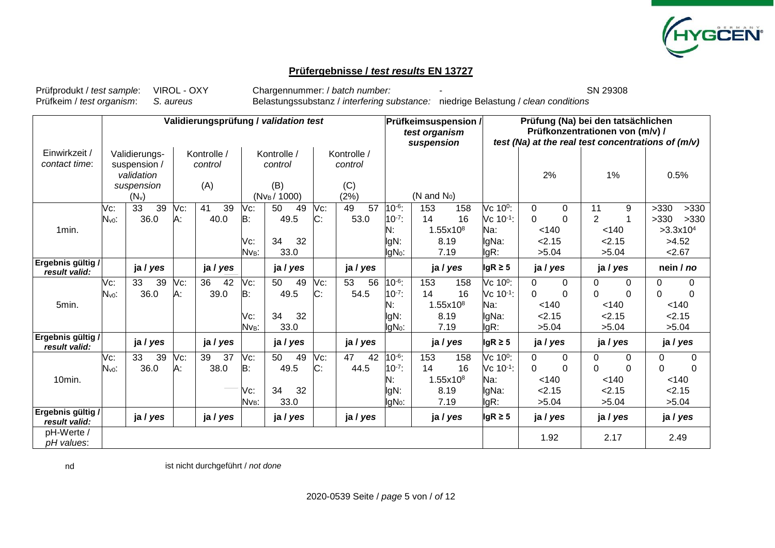

Prüfprodukt / *test sample*: VIROL - OXY Chargennummer: / *batch number:* - The Chargen - SN 29308<br>Prüfkeim / *test organism*: S. aureus Belastungssubstanz / *interfering substance:* niedrige Belastung / *clean conditions* Prüfkeim / *test organism*: *S. aureus* Belastungssubstanz / *interfering substance:* niedrige Belastung / *clean conditions*

|                                    | Validierungsprüfung / validation test |                                     |                 |     |                        |                   |                                 |          |     |                        |                 |                                    | test organism          | <b>Prüfkeimsuspension /</b> |                      | Prüfung (Na) bei den tatsächlichen<br>Prüfkonzentrationen von (m/v) /<br>test (Na) at the real test concentrations of (m/v) |               |                |               |                |           |  |  |
|------------------------------------|---------------------------------------|-------------------------------------|-----------------|-----|------------------------|-------------------|---------------------------------|----------|-----|------------------------|-----------------|------------------------------------|------------------------|-----------------------------|----------------------|-----------------------------------------------------------------------------------------------------------------------------|---------------|----------------|---------------|----------------|-----------|--|--|
| Einwirkzeit /<br>contact time:     |                                       | Validierungs-<br>suspension /       |                 |     | Kontrolle /<br>control |                   | Kontrolle /<br>control          |          |     | Kontrolle /<br>control |                 |                                    | suspension             |                             |                      |                                                                                                                             |               |                |               |                |           |  |  |
|                                    |                                       | validation<br>suspension<br>$(N_v)$ |                 |     | (A)                    |                   | (B)<br>(Nv <sub>B</sub> / 1000) |          |     | (C)<br>(2%)            |                 |                                    | $(N \text{ and } N_0)$ |                             |                      |                                                                                                                             | 2%            | 1%             |               | 0.5%           |           |  |  |
|                                    |                                       | 33                                  | $\overline{39}$ | Vc: | 39<br>41               | Vc:               | 50                              | 49       | Vc: | 49                     | $\overline{57}$ | $10^{-6}$                          | 153                    | 158                         | Vc 10 <sup>0</sup> : | $\mathbf 0$                                                                                                                 |               | 11             | 9             |                | >330      |  |  |
|                                    | Vc:                                   | 36.0                                |                 |     | 40.0                   | B:                |                                 | 49.5     | C:  | 53.0                   |                 | $10^{-7}$ :                        | 14                     | 16                          | $Vc 10^{-1}$ :       | $\Omega$                                                                                                                    | 0<br>$\Omega$ | $\overline{2}$ | 1             | >330<br>>330   | >330      |  |  |
|                                    | $Nvo$ :                               |                                     |                 | Α:  |                        |                   |                                 |          |     |                        |                 |                                    |                        |                             |                      |                                                                                                                             |               |                |               |                | >3.3x104  |  |  |
| 1 <sub>min.</sub>                  |                                       |                                     |                 |     |                        | Vc:               | 34                              | 32       |     |                        |                 | 1.55x10 <sup>8</sup><br>N:<br>8.19 |                        |                             | Na:                  |                                                                                                                             | < 140<br>2.15 |                | < 140<br>2.15 |                |           |  |  |
|                                    |                                       |                                     |                 |     |                        |                   |                                 |          |     |                        |                 | IgN:                               |                        |                             | lgNa:                |                                                                                                                             |               |                |               | >4.52<br>2.67  |           |  |  |
| Ergebnis gültig /                  |                                       |                                     |                 |     |                        | Nv <sub>B</sub> : | 33.0                            |          |     |                        |                 | IgN <sub>0</sub> :                 |                        | 7.19                        | lgR:                 |                                                                                                                             | >5.04         | >5.04          |               |                |           |  |  |
| result valid:                      |                                       | ja / yes                            |                 |     | ja / yes               |                   |                                 | ja / yes |     | ja / yes               |                 |                                    |                        | ja / yes                    | $lgR \geq 5$         |                                                                                                                             | ja / yes      |                | ja / yes      |                | nein / no |  |  |
|                                    | Vc:                                   | 33                                  | 39              | Vc: | 36<br>42               | Vc:               | 50                              | 49       | Vc: | 53                     | 56              | $10^{-6}$ :                        | 153                    | 158                         | Vc 10 <sup>0</sup> : | $\mathbf 0$                                                                                                                 | $\Omega$      | 0              | $\Omega$      | 0              | $\Omega$  |  |  |
|                                    | $Nvo$ :                               | 36.0                                |                 | A:  | 39.0                   | B:                | 49.5                            |          | C:  | 54.5                   |                 | $10^{-7}$ :                        | 14                     | 16                          | Vc 10-1:             | $\Omega$                                                                                                                    | $\Omega$      | $\Omega$       | $\Omega$      | $\Omega$       | $\Omega$  |  |  |
| 5min.                              |                                       |                                     |                 |     |                        |                   |                                 |          |     |                        |                 | N:                                 |                        | 1.55x10 <sup>8</sup>        | Na:                  |                                                                                                                             | < 140         |                | < 140         |                | < 140     |  |  |
|                                    |                                       |                                     |                 |     |                        | Vc:               | 34                              | 32       |     |                        |                 | IgN:                               |                        | 8.19                        | lgNa:                |                                                                                                                             | 2.15          |                | 2.15          |                | 2.15      |  |  |
|                                    |                                       |                                     |                 |     |                        | Nv <sub>B</sub> : |                                 | 33.0     |     |                        |                 | IgN <sub>0</sub> :                 |                        | 7.19                        | lgR:                 |                                                                                                                             | >5.04         | >5.04          |               | >5.04          |           |  |  |
| Ergebnis gültig /<br>result valid: |                                       | ja / yes                            |                 |     | ja / yes               |                   |                                 | ja / yes |     | ja / yes               |                 |                                    |                        | ja / yes                    | $lgR \geq 5$         |                                                                                                                             | ja / yes      |                | ja / yes      |                | ja / yes  |  |  |
|                                    | Vc:                                   | $\overline{33}$                     | 39              | Vc: | $\overline{37}$<br>39  | Vc:               | 50                              | 49       | Vc: | 47                     | 42              | $10^{-6}$                          | 153                    | 158                         | Vc 10 <sup>0</sup> : | $\mathbf 0$                                                                                                                 | $\Omega$      | 0              | $\Omega$      | $\overline{0}$ | $\Omega$  |  |  |
|                                    | N <sub>v0</sub> :                     | 36.0                                |                 | Α:  | 38.0                   | B:                |                                 | 49.5     | C:  | 44.5                   |                 | $10^{-7}$ :                        | 14                     | 16                          | $Vc 10^{-1}$ :       | $\Omega$                                                                                                                    | $\Omega$      | $\Omega$       | $\Omega$      | $\Omega$       | $\Omega$  |  |  |
| 10min.                             |                                       |                                     |                 |     |                        |                   |                                 |          |     |                        |                 | N:                                 |                        | 1.55x10 <sup>8</sup>        | Na:                  |                                                                                                                             | < 140         |                | < 140         |                | 140       |  |  |
|                                    |                                       |                                     |                 |     |                        | Vc:               | 34                              | 32       |     |                        |                 | IgN:                               |                        | 8.19                        | lgNa:                |                                                                                                                             | 2.15          |                | 2.15          |                | 2.15      |  |  |
|                                    |                                       |                                     |                 |     |                        | Nv <sub>B</sub> : | 33.0                            |          |     |                        |                 | IgN <sub>0</sub> :                 |                        | 7.19                        | lgR:                 |                                                                                                                             | >5.04         |                | >5.04         |                | >5.04     |  |  |
| Ergebnis gültig /<br>result valid: |                                       | ja / yes                            |                 |     | ja / yes               |                   |                                 | ja / yes |     | ja / yes               |                 |                                    |                        | ja / yes                    | $lgR \geq 5$         |                                                                                                                             | ja / yes      |                | ja / yes      |                | ja / yes  |  |  |
| pH-Werte /<br>pH values:           |                                       |                                     |                 |     |                        |                   |                                 |          |     |                        |                 |                                    |                        |                             |                      |                                                                                                                             | 1.92          |                | 2.17          |                | 2.49      |  |  |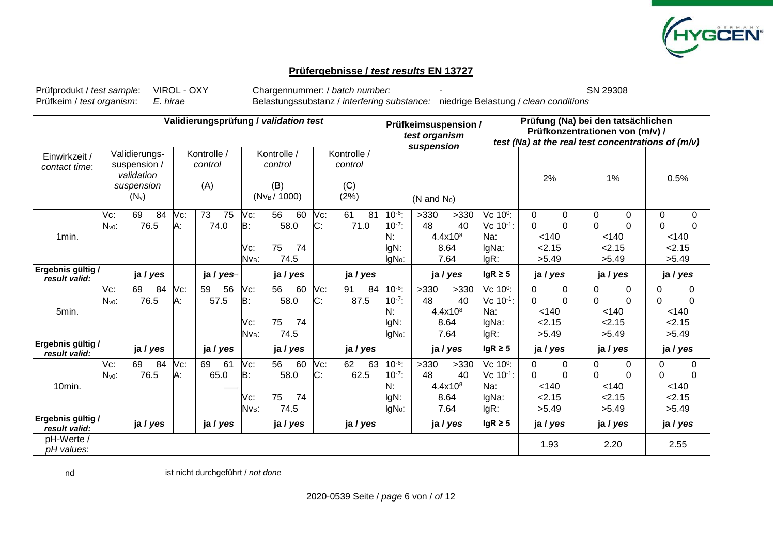

Prüfprodukt / *test sample*: VIROL - OXY Chargennummer: / *batch number:* - The Chargen - SN 29308<br>Prüfkeim / *test organism: E. hirae* Selastungssubstanz / *interfering substance:* niedrige Belastung / *clean conditions* 

Prüfkeim / *test organism*: *E. hirae* Belastungssubstanz / *interfering substance:* niedrige Belastung / *clean conditions*

|                                    | Validierungsprüfung / validation test |                                                                      |    |           |                               |                                                                                                                      |                                                  |                          |                                                        |                                                   |                                                              |                                                                                                                                   | test organism                | <b>Prüfkeimsuspension /</b>                                        | Prüfung (Na) bei den tatsächlichen<br>Prüfkonzentrationen von (m/v) /<br>test (Na) at the real test concentrations of (m/v) |                                         |                      |                                            |                                         |                                              |                      |  |
|------------------------------------|---------------------------------------|----------------------------------------------------------------------|----|-----------|-------------------------------|----------------------------------------------------------------------------------------------------------------------|--------------------------------------------------|--------------------------|--------------------------------------------------------|---------------------------------------------------|--------------------------------------------------------------|-----------------------------------------------------------------------------------------------------------------------------------|------------------------------|--------------------------------------------------------------------|-----------------------------------------------------------------------------------------------------------------------------|-----------------------------------------|----------------------|--------------------------------------------|-----------------------------------------|----------------------------------------------|----------------------|--|
| Einwirkzeit /<br>contact time:     |                                       | Validierungs-<br>suspension /<br>validation<br>suspension<br>$(N_v)$ |    |           | Kontrolle /<br>control<br>(A) |                                                                                                                      | Kontrolle /<br>control<br>(B)<br>$(Nv_B / 1000)$ |                          |                                                        | Kontrolle /<br>control<br>(C)<br>(2%)             |                                                              |                                                                                                                                   | suspension<br>(N and $N_0$ ) |                                                                    |                                                                                                                             |                                         | 2%                   | 1%                                         |                                         | 0.5%                                         |                      |  |
| 1 <sub>min</sub>                   | Vc:<br>$Nvo$ :                        | 69<br>76.5                                                           | 84 | Vc:<br>A: | 75<br>73<br>74.0              | 60<br>61<br>81<br>Vc:<br>56<br>Vc:<br>C:<br>B:<br>58.0<br>71.0<br>N:<br>Vc:<br>75<br>74<br>Nv <sub>B</sub> :<br>74.5 |                                                  |                          | $10^{-6}$<br>$10^{-7}$ :<br>IgN:<br>IgN <sub>0</sub> : | >330<br>48<br>4.4x10 <sup>8</sup><br>8.64<br>7.64 | $Vc 10^0$ :<br>Vc 10 <sup>-1</sup> :<br>Na:<br>lgNa:<br>lgR: | 0<br>$\Omega$<br>< 140<br>>5.49                                                                                                   | 0<br>$\Omega$<br>2.15        | 0<br>$\Omega$                                                      | $\Omega$<br>$\Omega$<br>< 140<br>2.15<br>>5.49                                                                              | 0<br>$\Omega$<br>< 140<br>2.15<br>>5.49 | 0<br>$\Omega$        |                                            |                                         |                                              |                      |  |
| Ergebnis gültig /<br>result valid: |                                       | ja / yes                                                             |    |           | ja / yes-                     |                                                                                                                      |                                                  | ja / yes                 |                                                        |                                                   | ja / yes                                                     |                                                                                                                                   |                              | ja / yes                                                           | $lgR \geq 5$                                                                                                                | ja / yes                                |                      | ja / yes                                   |                                         |                                              | ja / yes             |  |
| 5min.                              | Vc:<br>N <sub>v0</sub> :              | 69<br>76.5                                                           | 84 | Vc:<br>А: | 59<br>56<br>57.5              | Vc:<br>B:<br>Vc:<br>Nv <sub>B</sub> :                                                                                | 56<br>75                                         | 60<br>58.0<br>74<br>74.5 | Vc:<br>C:                                              | 91<br>87.5                                        | 84                                                           | $10^{-6}$ :<br>$10^{-7}$ :<br>N:<br>IgN:<br>IgN <sub>0</sub> :                                                                    | >330<br>48                   | >330<br>40<br>4.4x10 <sup>8</sup><br>8.64<br>7.64                  |                                                                                                                             | 0<br>$\Omega$<br>< 140<br>2.15<br>>5.49 | $\Omega$<br>$\Omega$ | 0<br>$\Omega$                              | 0<br>$\Omega$<br>< 140<br>2.15<br>>5.49 | $\Omega$<br>$\Omega$<br>140<br>2.15<br>>5.49 | $\Omega$<br>$\Omega$ |  |
| Ergebnis gültig /<br>result valid: |                                       | ja / yes                                                             |    |           | ja / yes                      |                                                                                                                      |                                                  | ja / yes                 |                                                        |                                                   | ja / yes                                                     |                                                                                                                                   |                              | ja / yes                                                           | lgR:<br>$lgR \geq 5$                                                                                                        |                                         | ja / yes             |                                            | ja / yes                                |                                              | ja / yes             |  |
| 10min.                             | Vc:<br>$N_{\rm v0}$ :                 | 69<br>76.5                                                           | 84 | Vc:<br>A: | 69<br>61<br>65.0              | Vc:<br>B:<br>Vc:<br>Nv <sub>B</sub> :                                                                                | $\overline{56}$<br>75                            | 60<br>58.0<br>74<br>74.5 | Vc:<br>C:                                              | 62<br>62.5                                        | 63                                                           | $10^{-6}$ :<br>>330<br>>330<br>$10^{-7}$ :<br>48<br>40<br>4.4x10 <sup>8</sup><br>N:<br>IgN:<br>8.64<br>IgN <sub>0</sub> :<br>7.64 |                              | Vc $10^{\circ}$ :<br>Vc 10 <sup>-1</sup> :<br>Na:<br>lgNa:<br>lgR: | 0<br>$\Omega$<br>< 140<br>2.15<br>>5.49                                                                                     | $\mathbf 0$<br>$\Omega$                 | 0<br>$\Omega$        | $\mathbf 0$<br>0<br>< 140<br>2.15<br>>5.49 | 0<br>$\Omega$<br>< 140<br>2.15<br>>5.49 | $\Omega$<br>$\Omega$                         |                      |  |
| Ergebnis gültig /<br>result valid: |                                       | ja / yes                                                             |    |           | ja / yes                      |                                                                                                                      |                                                  | ja / yes                 |                                                        |                                                   | ja / yes                                                     |                                                                                                                                   |                              | ja / yes                                                           | $lgR \geq 5$                                                                                                                | ja / yes                                |                      | ja / yes                                   |                                         | ja / yes                                     |                      |  |
| pH-Werte /<br>pH values:           |                                       |                                                                      |    |           |                               |                                                                                                                      |                                                  |                          |                                                        |                                                   |                                                              |                                                                                                                                   |                              |                                                                    |                                                                                                                             |                                         | 1.93                 |                                            | 2.20                                    | 2.55                                         |                      |  |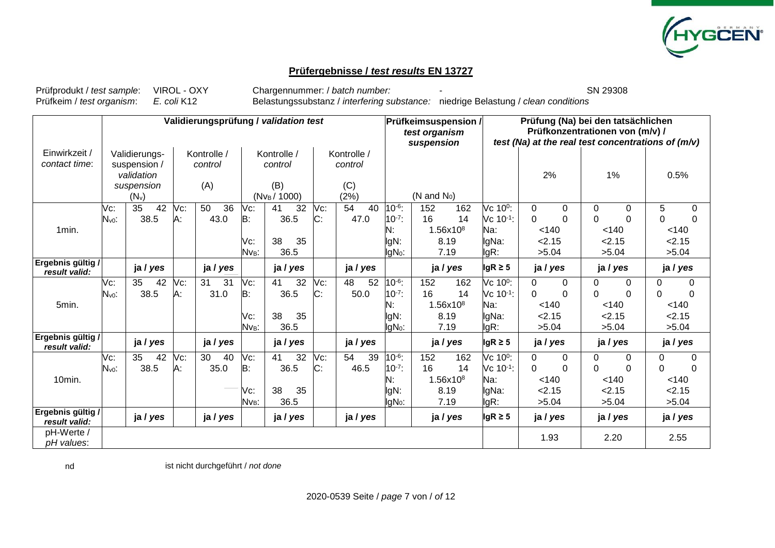

Prüfprodukt / *test sample*: VIROL - OXY Chargennummer: / *batch number:* - - The Chargen SN 29308<br>Prüfkeim / *test organism: E. coli* K12 Belastungssubstanz / *interfering substance:* niedrige Belastung / *clean condition* Prüfkeim / *test organism*: *E. coli* K12 Belastungssubstanz / *interfering substance:* niedrige Belastung / *clean conditions*

|                                           | Validierungsprüfung / validation test |                                             |    |           |                               |                                       |                          |          |           |                        |    |                                                                | test organism  | <b>Prüfkeimsuspension /</b>                       | Prüfung (Na) bei den tatsächlichen<br>Prüfkonzentrationen von (m/v) /<br>test (Na) at the real test concentrations of $(m/v)$ |                            |                                                |                                                          |                                                |                      |                                                   |  |
|-------------------------------------------|---------------------------------------|---------------------------------------------|----|-----------|-------------------------------|---------------------------------------|--------------------------|----------|-----------|------------------------|----|----------------------------------------------------------------|----------------|---------------------------------------------------|-------------------------------------------------------------------------------------------------------------------------------|----------------------------|------------------------------------------------|----------------------------------------------------------|------------------------------------------------|----------------------|---------------------------------------------------|--|
| Einwirkzeit /<br>contact time:            |                                       | Validierungs-<br>suspension /<br>validation |    |           | Kontrolle /<br>control        |                                       | Kontrolle /<br>control   |          |           | Kontrolle /<br>control |    |                                                                | suspension     |                                                   |                                                                                                                               |                            | 2%                                             |                                                          | 1%                                             |                      | 0.5%                                              |  |
|                                           |                                       | suspension<br>$(N_v)$                       |    |           | (A)                           |                                       | (B)<br>$(Nv_B / 1000)$   |          |           | (C)<br>(2%)            |    |                                                                | (N and $N_0$ ) |                                                   |                                                                                                                               |                            |                                                |                                                          |                                                |                      |                                                   |  |
|                                           | Vc:<br>N <sub>v0</sub> :              | 35<br>38.5                                  | 42 | Vc:<br>Α: | $\overline{36}$<br>50<br>43.0 | Vc:<br>B:                             | 41<br>36.5               | 32       | Vc:<br>C: | 54<br>47.0             | 40 | $10^{-6}$<br>$10^{-7}$ :                                       | 152<br>16      | 162<br>14                                         | Vc $10^\circ$ :<br>Vc 10-1:                                                                                                   | $\Omega$<br>$\overline{0}$ | $\Omega$<br>$\Omega$                           | 0<br>0                                                   | $\Omega$<br>0                                  | 5<br>0               | $\Omega$<br>$\Omega$                              |  |
| 1 <sub>min.</sub>                         |                                       |                                             |    |           |                               | Vc:<br>Nv <sub>B</sub> :              | 38<br>36.5               | 35       |           |                        |    | N:<br>IgN:<br>IgN <sub>0</sub> :                               |                | 1.56x10 <sup>8</sup><br>8.19<br>7.19              | Na:<br>lgNa:<br>lgR:                                                                                                          |                            | < 140<br>2.15<br>>5.04                         |                                                          | < 140<br>2.15<br>>5.04                         |                      | < 140<br>2.15<br>>5.04                            |  |
| Ergebnis gültig /<br>result valid:        |                                       | ja / yes                                    |    |           | ja / yes                      |                                       | ja / yes                 |          |           | ja / yes               |    |                                                                |                | ja / yes                                          | $lgR \geq 5$                                                                                                                  |                            | ja / yes                                       |                                                          | ja / yes                                       |                      | ja / yes                                          |  |
| 5min.                                     | Vc:<br>$Nvo$ :                        | 35<br>38.5                                  | 42 | Vc:<br>A: | 31<br>31<br>31.0              | Vc:<br>B:<br>Vc:<br>Nv <sub>B</sub> : | 41<br>36.5<br>38<br>36.5 | 32<br>35 | Vc:<br>C: | 48<br>50.0             | 52 | $10^{-6}$ :<br>$10^{-7}$ :<br>N:<br>IgN:<br>IgN <sub>0</sub> : | 152<br>16      | 162<br>14<br>1.56x10 <sup>8</sup><br>8.19<br>7.19 | Vc 10 <sup>0</sup> :<br>Vc 10-1:<br>Na:<br>lgNa:<br>lgR:                                                                      | $\mathbf 0$<br>$\Omega$    | $\Omega$<br>$\Omega$<br>< 140<br>2.15<br>>5.04 | 0<br>0<br>$\Omega$<br>$\Omega$<br>< 140<br>2.15<br>>5.04 |                                                | 0<br>$\Omega$        | $\mathbf 0$<br>$\Omega$<br>< 140<br>2.15<br>>5.04 |  |
| <b>Ergebnis gültig /</b><br>result valid: |                                       | ja / yes                                    |    |           | ja / yes                      |                                       | ja / yes                 |          |           | ja / yes               |    |                                                                |                | ja / yes                                          | $lgR \geq 5$                                                                                                                  |                            | ja / yes                                       |                                                          | ja / yes                                       |                      | ja / yes                                          |  |
| 10min.                                    | Vc:<br>N <sub>v0</sub> :              | 35<br>38.5                                  | 42 | Vc:<br>A: | 30<br>40<br>35.0              | Vc:<br>B:<br>Vc:<br>Nv <sub>B</sub> : | 41<br>36.5<br>38<br>36.5 | 32<br>35 | Vc:<br>C: | 54<br>46.5             | 39 | $10^{-6}$<br>$10^{-7}$ :<br>N:<br>IgN:<br>IgN <sub>0</sub> :   | 152<br>16      | 162<br>14<br>1.56x10 <sup>8</sup><br>8.19<br>7.19 | Vc 10 <sup>0</sup> :<br>$Vc 10^{-1}$ :<br>Na:<br>lgNa:<br>lgR:                                                                | $\mathbf 0$<br>$\Omega$    | $\Omega$<br>$\Omega$<br>140<br>2.15<br>>5.04   | 0<br>$\Omega$                                            | $\Omega$<br>$\Omega$<br>< 140<br>2.15<br>>5.04 | $\Omega$<br>$\Omega$ | $\Omega$<br>$\Omega$<br>140<br>2.15<br>>5.04      |  |
| Ergebnis gültig /<br>result valid:        |                                       | ja / yes                                    |    |           | ja / yes                      |                                       |                          | ja / yes |           | ja / yes               |    |                                                                |                | ja / yes                                          | $lgR \geq 5$                                                                                                                  |                            | ja / yes                                       |                                                          | ja / yes                                       |                      | ja / yes                                          |  |
| pH-Werte /<br>pH values:                  |                                       |                                             |    |           |                               |                                       |                          |          |           |                        |    |                                                                |                |                                                   |                                                                                                                               |                            | 1.93                                           |                                                          | 2.20                                           |                      | 2.55                                              |  |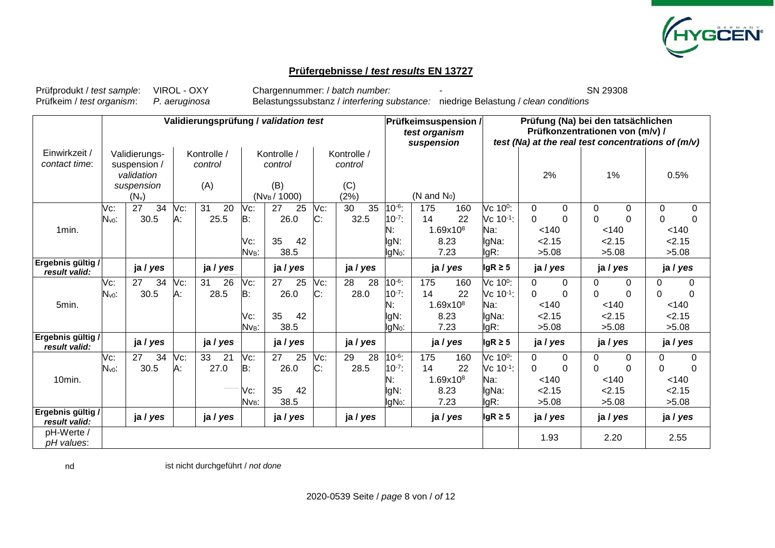

Prüfprodukt / *test sample*: VIROL - OXY Chargennummer: / *batch number:* - - The Chargen SN 29308<br>Prüfkeim / *test organism: P. aeruginosa* Belastungssubstanz / *interfering substance:* niedrige Belastung / *clean conditi* Prüfkeim / *test organism*: *P. aeruginosa* Belastungssubstanz / *interfering substance:* niedrige Belastung / *clean conditions*

|                                    | Validierungsprüfung / validation test |                 |    |     |                       |                   |                 |                 |     |             |                 |                    | test organism          | Prüfkeimsuspension / | Prüfung (Na) bei den tatsächlichen<br>Prüfkonzentrationen von (m/v) / |                |          |          |                                                      |                |          |       |  |
|------------------------------------|---------------------------------------|-----------------|----|-----|-----------------------|-------------------|-----------------|-----------------|-----|-------------|-----------------|--------------------|------------------------|----------------------|-----------------------------------------------------------------------|----------------|----------|----------|------------------------------------------------------|----------------|----------|-------|--|
|                                    |                                       |                 |    |     |                       |                   |                 |                 |     |             |                 |                    | suspension             |                      |                                                                       |                |          |          | test (Na) at the real test concentrations of $(m/v)$ |                |          |       |  |
| Einwirkzeit /                      |                                       | Validierungs-   |    |     | Kontrolle /           |                   | Kontrolle /     |                 |     | Kontrolle / |                 |                    |                        |                      |                                                                       |                |          |          |                                                      |                |          |       |  |
| contact time:                      |                                       | suspension /    |    |     | control               |                   | control         |                 |     | control     |                 |                    |                        |                      |                                                                       |                |          |          |                                                      |                |          |       |  |
|                                    |                                       | validation      |    |     |                       |                   |                 |                 |     |             |                 |                    |                        |                      |                                                                       |                | 2%       |          | 1%                                                   | 0.5%           |          |       |  |
|                                    |                                       | suspension      |    |     | (A)                   |                   | (B)             |                 |     | (C)         |                 |                    |                        |                      |                                                                       |                |          |          |                                                      |                |          |       |  |
|                                    |                                       | $(N_v)$         |    |     |                       |                   | $(Nv_B / 1000)$ |                 |     | (2%)        |                 |                    | $(N \text{ and } N_0)$ |                      |                                                                       |                |          |          |                                                      |                |          |       |  |
|                                    | Vc:                                   | 27              | 34 | Vc: | $\overline{20}$<br>31 | Vc:               | 27              | 25              | Vc: | 30          | $\overline{35}$ | $10^{-6}$          | 175                    | 160                  | Vc 10 <sup>0</sup> :                                                  | $\Omega$       | $\Omega$ | $\Omega$ | 0                                                    | 0              | $\Omega$ |       |  |
|                                    | N <sub>v0</sub> :                     | 30.5            |    | А.  | 25.5                  | B:                |                 | 26.0            | C:  | 32.5        |                 | $10^{-7}$ :        | 14                     | 22                   | $Vc 10^{-1}$ :                                                        | $\Omega$       | $\Omega$ | $\Omega$ | 0                                                    | $\Omega$       | $\Omega$ |       |  |
| 1 <sub>min</sub>                   |                                       |                 |    |     |                       |                   |                 |                 |     |             |                 | N:                 |                        | 1.69x10 <sup>8</sup> | Na:                                                                   |                | < 140    |          | < 140                                                | < 140          |          |       |  |
|                                    |                                       |                 |    |     |                       | Vc:               | 35              | 42              |     |             |                 | lgN:               |                        | 8.23                 | lgNa:                                                                 |                | 2.15     |          | 2.15                                                 |                | 2.15     |       |  |
|                                    |                                       |                 |    |     |                       | Nv <sub>B</sub> : |                 | 38.5            |     |             |                 | IgN <sub>0</sub> : |                        | 7.23                 | lgR:                                                                  | >5.08          |          |          |                                                      | >5.08          |          | >5.08 |  |
| Ergebnis gültig /<br>result valid: |                                       | ja / yes        |    |     | ja / yes              |                   |                 | ja / yes        |     | ja / yes    |                 |                    |                        | ja / yes             | $lgR \geq 5$                                                          | ja / yes       |          |          | ja / yes                                             | ja / yes       |          |       |  |
|                                    | Vc:                                   | 27              | 34 | Vc: | 31<br>26              | Vc:               | 27              | 25              | Vc: | 28          | 28              | $10^{-6}$          | 175                    | 160                  | Vc 10 <sup>0</sup> :                                                  | $\mathbf 0$    | $\Omega$ | 0        | $\Omega$                                             | 0              | $\Omega$ |       |  |
|                                    | N <sub>v0</sub> :                     | 30.5            |    | А:  | 28.5                  | B:                |                 | 26.0            | C:  | 28.0        |                 | $10^{-7}$ :        | 14                     | 22                   | $Vc 10^{-1}$ :                                                        | $\Omega$       | $\Omega$ | $\Omega$ | $\Omega$                                             | $\Omega$       | $\Omega$ |       |  |
| 5min.                              |                                       |                 |    |     |                       |                   |                 |                 |     |             |                 | N:                 |                        | 1.69x10 <sup>8</sup> | Na:                                                                   |                | < 140    |          | < 140                                                | < 140          |          |       |  |
|                                    |                                       |                 |    |     |                       | Vc:               | 35              | 42              |     |             |                 | IgN:               |                        | 8.23                 | lgNa:                                                                 |                | 2.15     |          | 2.15                                                 |                | 2.15     |       |  |
|                                    |                                       |                 |    |     |                       | Nv <sub>B</sub> : |                 | 38.5            |     |             |                 | IgN <sub>0</sub> : |                        | 7.23                 | lgR:                                                                  |                | >5.08    | >5.08    |                                                      | >5.08          |          |       |  |
| Ergebnis gültig /                  |                                       |                 |    |     |                       |                   |                 |                 |     |             |                 |                    |                        |                      | $lgR \geq 5$                                                          |                |          |          |                                                      | ja / yes       |          |       |  |
| result valid:                      |                                       | ja / yes        |    |     | ja / yes              |                   |                 | ja / yes        |     | ja / yes    |                 |                    |                        | ja / yes             |                                                                       |                | ja / yes |          | ja / yes                                             |                |          |       |  |
|                                    | Vc:                                   | $\overline{27}$ | 34 | Vc: | 33<br>21              | Vc:               | 27              | $\overline{25}$ | Vc: | 29          | $\overline{28}$ | $10^{-6}$          | 175                    | 160                  | Vc 10 <sup>0</sup> :                                                  | $\overline{0}$ | $\Omega$ | 0        | $\Omega$                                             | $\overline{0}$ | $\Omega$ |       |  |
|                                    | N <sub>v0</sub> :                     | 30.5            |    | А.  | 27.0                  | B:                |                 | 26.0            | C:  | 28.5        |                 | $10^{-7}$ :        | 14                     | 22                   | $Vc 10^{-1}$ :                                                        | $\Omega$       | $\Omega$ | $\Omega$ | 0                                                    | $\Omega$       | $\Omega$ |       |  |
| 10min.                             |                                       |                 |    |     |                       |                   |                 |                 |     |             |                 | N:                 |                        | 1.69x10 <sup>8</sup> | Na:                                                                   |                | < 140    |          | < 140                                                |                | 140      |       |  |
|                                    |                                       |                 |    |     |                       | Vc:               | 35              | 42              |     |             |                 | IgN:               |                        | 8.23                 | lgNa:                                                                 |                | 2.15     |          | 2.15                                                 | 2.15           |          |       |  |
|                                    |                                       |                 |    |     |                       | Nv <sub>B</sub> : |                 | 38.5            |     |             |                 | IgN <sub>0</sub> : |                        | 7.23                 | lgR:                                                                  |                | >5.08    |          | >5.08                                                | >5.08          |          |       |  |
| Ergebnis gültig /<br>result valid: |                                       | ja / yes        |    |     | ja / yes              |                   |                 | ja / yes        |     | ja / yes    |                 |                    |                        | ja / yes             | $lgR \geq 5$                                                          |                | ja / yes |          | ja / yes                                             |                | ja / yes |       |  |
| pH-Werte /<br>pH values:           |                                       |                 |    |     |                       |                   |                 |                 |     |             |                 |                    |                        |                      |                                                                       |                | 1.93     |          | 2.20                                                 | 2.55           |          |       |  |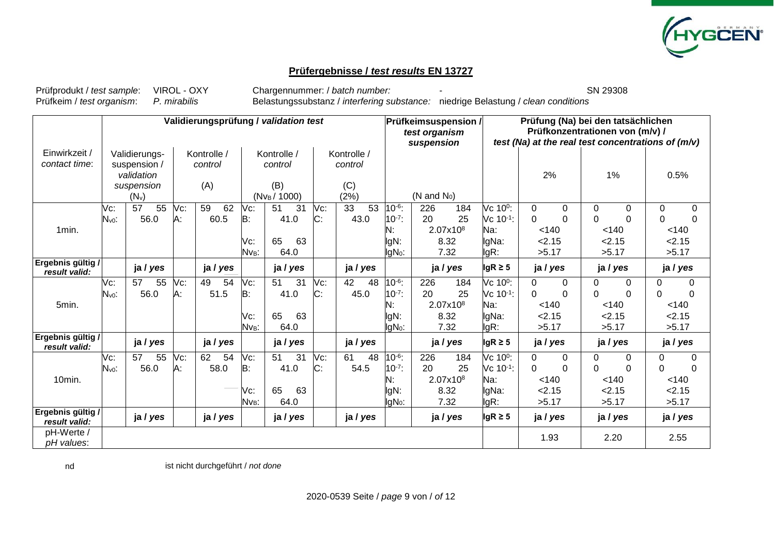

Prüfprodukt / *test sample*: VIROL - OXY Chargennummer: / *batch number:* - The Chargen - SN 29308<br>Prüfkeim / *test organism: P. mirabilis* Belastungssubstanz / *interfering substance:* niedrige Belastung / *clean conditio* Prüfkeim / *test organism*: *P. mirabilis* Belastungssubstanz / *interfering substance:* niedrige Belastung / *clean conditions*

|                                    | Validierungsprüfung / validation test |                                                           |          |     |                               |                   |                               |          |     |                               |                 |                    | Prüfkeimsuspension /<br>test organism |                      | Prüfung (Na) bei den tatsächlichen<br>Prüfkonzentrationen von (m/v) / |                |                |          |                                                      |          |                |
|------------------------------------|---------------------------------------|-----------------------------------------------------------|----------|-----|-------------------------------|-------------------|-------------------------------|----------|-----|-------------------------------|-----------------|--------------------|---------------------------------------|----------------------|-----------------------------------------------------------------------|----------------|----------------|----------|------------------------------------------------------|----------|----------------|
|                                    |                                       |                                                           |          |     |                               |                   |                               |          |     |                               |                 |                    | suspension                            |                      |                                                                       |                |                |          | test (Na) at the real test concentrations of $(m/v)$ |          |                |
| Einwirkzeit /<br>contact time:     |                                       | Validierungs-<br>suspension /<br>validation<br>suspension |          |     | Kontrolle /<br>control<br>(A) |                   | Kontrolle /<br>control<br>(B) |          |     | Kontrolle /<br>control<br>(C) |                 |                    |                                       |                      |                                                                       |                | 2%             |          | 1%                                                   |          | 0.5%           |
|                                    |                                       | $(N_v)$                                                   |          |     |                               |                   | $(Nv_B / 1000)$               |          |     | (2%)                          |                 |                    | $(N \text{ and } N_0)$                |                      |                                                                       |                |                |          |                                                      |          |                |
|                                    | Vc:                                   | 57                                                        | 55       | Vc: | 62<br>59                      | Vc:               | 51                            | 31       | Vc: | 33                            | $\overline{53}$ | $10^{-6}$ :        | 226                                   | 184                  | Vc $10^\circ$ :                                                       | $\Omega$       | $\Omega$       | 0        | $\Omega$                                             | 0        | $\Omega$       |
|                                    | $Nvo$ :                               |                                                           | 56.0     | Α:  | 60.5                          | B:                |                               | 41.0     | C:  | 43.0                          |                 | $10^{-7}$ :        | 20                                    | 25                   | $Vc 10^{-1}$ :                                                        | $\mathbf 0$    | $\overline{0}$ | 0        | $\Omega$                                             | 0        | $\Omega$       |
| 1 <sub>min.</sub>                  |                                       |                                                           |          |     |                               |                   |                               |          |     |                               |                 | N:                 |                                       | 2.07x10 <sup>8</sup> | Na:                                                                   |                | < 140          |          | < 140                                                |          | < 140          |
|                                    |                                       |                                                           |          |     |                               | Vc:               | 65                            | 63       |     |                               |                 | 8.32<br>IgN:       |                                       |                      | lgNa:                                                                 |                | 2.15           |          | 2.15                                                 |          | 2.15           |
|                                    |                                       |                                                           |          |     |                               | Nv <sub>B</sub> : |                               | 64.0     |     |                               |                 | IgN <sub>0</sub> : |                                       | 7.32                 | lgR:                                                                  | >5.17          |                | >5.17    |                                                      |          | >5.17          |
| Ergebnis gültig /<br>result valid: |                                       |                                                           | ja / yes |     | ja / yes                      |                   |                               | ja / yes |     | ja / yes                      |                 |                    |                                       | ja / yes             | $lgR \geq 5$                                                          | ja / yes       |                |          | ja / yes                                             |          | ja / yes       |
|                                    | Vc:                                   | 57                                                        | 55       | Vc: | 49<br>54                      | Vc:               | 51                            | 31       | Vc: | 42                            | 48              | $10^{-6}$ :        | 226                                   | 184                  | Vc 10 <sup>0</sup> :                                                  | $\overline{0}$ | $\Omega$       | 0        | $\Omega$                                             | 0        | $\mathbf 0$    |
|                                    | $Nvo$ :                               |                                                           | 56.0     | Α:  | .5<br>51                      | B:                |                               | 41.0     | C:  | 45.0                          |                 | $10^{-7}$ :        | 20                                    | 25                   | Vc 10-1:                                                              | $\Omega$       | $\Omega$       | $\Omega$ | $\Omega$                                             | $\Omega$ | $\overline{0}$ |
| 5min.                              |                                       |                                                           |          |     |                               |                   |                               |          |     |                               |                 | N:                 |                                       | 2.07x10 <sup>8</sup> | Na:                                                                   |                | < 140          |          | < 140                                                |          | < 140          |
|                                    |                                       |                                                           |          |     |                               | Vc:               | 65                            | 63       |     |                               |                 | IgN:               | 8.32                                  |                      | lgNa:                                                                 |                | 2.15           |          | 2.15                                                 |          | 2.15           |
|                                    |                                       |                                                           |          |     |                               | Nv <sub>B</sub> : |                               | 64.0     |     |                               |                 | IgN <sub>0</sub> : |                                       | 7.32                 | lgR:                                                                  | >5.17          |                | >5.17    |                                                      |          | >5.17          |
| Ergebnis gültig /<br>result valid: |                                       |                                                           | ja / yes |     | ja / yes                      |                   |                               | ja / yes |     | ja / yes                      |                 |                    |                                       | ja / yes             | $lgR \geq 5$                                                          |                | ja / yes       |          | ja / yes                                             |          | ja / yes       |
|                                    | Vc:                                   | $\overline{57}$                                           | 55       | Vc: | 62<br>54                      | Vc:               | 51                            | 31       | Vc: | 61                            | 48              | $10^{-6}$          | 226                                   | 184                  | Vc 10 <sup>0</sup> :                                                  | $\Omega$       | $\Omega$       | 0        | $\Omega$                                             | $\Omega$ | $\Omega$       |
|                                    | N <sub>v0</sub> :                     |                                                           | 56.0     | Α:  | 58.0                          | B:                |                               | 41.0     | C:  | 54.5                          |                 | $10^{-7}$ :        | 20                                    | 25                   | $Vc 10^{-1}$ :                                                        | $\Omega$       | $\Omega$       | $\Omega$ | $\Omega$                                             | $\Omega$ | $\Omega$       |
| $10$ min.                          |                                       |                                                           |          |     |                               |                   |                               |          |     |                               |                 | N:                 |                                       | 2.07x10 <sup>8</sup> | Na:                                                                   |                | < 140          |          | < 140                                                |          | < 140          |
|                                    |                                       |                                                           |          |     |                               | Vc:               | 65                            | 63       |     |                               |                 | IgN:               |                                       | 8.32                 | lgNa:                                                                 |                | 2.15           |          | 2.15                                                 |          | 2.15           |
|                                    |                                       |                                                           |          |     |                               | Nv <sub>B</sub> : |                               | 64.0     |     |                               |                 | IgN <sub>0</sub> : |                                       | 7.32                 | lgR:                                                                  |                | >5.17          |          | >5.17                                                |          | >5.17          |
| Ergebnis gültig /<br>result valid: |                                       |                                                           | ja / yes |     | ja / yes                      |                   |                               | ja / yes |     | ja / yes                      |                 |                    |                                       | ja / yes             | $lgR \geq 5$                                                          |                | ja / yes       |          | ja / yes                                             |          | ja / yes       |
| pH-Werte /<br>pH values:           |                                       |                                                           |          |     |                               |                   |                               |          |     |                               |                 |                    |                                       |                      |                                                                       |                | 1.93           |          | 2.20                                                 |          | 2.55           |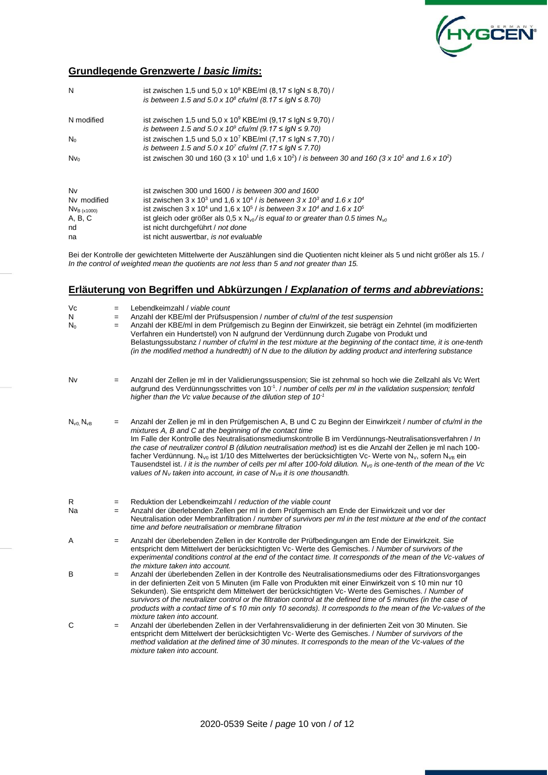

#### **Grundlegende Grenzwerte /** *basic limits***:**

| N                | ist zwischen 1,5 und 5,0 x 10 <sup>8</sup> KBE/ml (8,17 ≤ lgN ≤ 8,70) /<br>is between 1.5 and 5.0 x 10 <sup>8</sup> cfu/ml (8.17 ≤ lgN ≤ 8.70)    |
|------------------|---------------------------------------------------------------------------------------------------------------------------------------------------|
| N modified       | ist zwischen 1,5 und 5,0 x 10 <sup>9</sup> KBE/ml (9,17 ≤ lgN ≤ 9,70) /                                                                           |
|                  | is between 1.5 and 5.0 x 10 <sup>9</sup> cfu/ml (9.17 $\leq$ lgN $\leq$ 9.70)                                                                     |
| $N_0$            | ist zwischen 1,5 und 5,0 x 10 <sup>7</sup> KBE/ml (7,17 ≤ lgN ≤ 7,70) /                                                                           |
|                  | is between 1.5 and 5.0 x 10 <sup>7</sup> cfu/ml (7.17 $\leq$ lgN $\leq$ 7.70)                                                                     |
| N <sub>Vo</sub>  | ist zwischen 30 und 160 (3 x 10 <sup>1</sup> und 1,6 x 10 <sup>2</sup> ) / is between 30 and 160 (3 x 10 <sup>1</sup> and 1.6 x 10 <sup>2</sup> ) |
| Nv               | ist zwischen 300 und 1600 / is between 300 and 1600                                                                                               |
| Nv modified      | ist zwischen 3 x 10 <sup>3</sup> und 1.6 x 10 <sup>4</sup> / is between 3 x 10 <sup>3</sup> and 1.6 x 10 <sup>4</sup>                             |
| $Nv_{B (x1000)}$ | ist zwischen 3 x 10 <sup>4</sup> und 1.6 x 10 <sup>5</sup> / is between 3 x 10 <sup>4</sup> and 1.6 x 10 <sup>5</sup>                             |
| A, B, C          | ist gleich oder größer als 0,5 x $N_{\nu 0}$ / is equal to or greater than 0.5 times $N_{\nu 0}$                                                  |
| nd               | ist nicht durchgeführt / not done                                                                                                                 |
| na               | ist nicht auswertbar, is not evaluable                                                                                                            |

Bei der Kontrolle der gewichteten Mittelwerte der Auszählungen sind die Quotienten nicht kleiner als 5 und nicht größer als 15. / *In the control of weighted mean the quotients are not less than 5 and not greater than 15.*

#### **Erläuterung von Begriffen und Abkürzungen /** *Explanation of terms and abbreviations***:**

| Vc<br>N<br>$N_0$    | $=$<br>$=$<br>$=$ | Lebendkeimzahl / viable count<br>Anzahl der KBE/ml der Prüfsuspension / number of cfu/ml of the test suspension<br>Anzahl der KBE/ml in dem Prüfgemisch zu Beginn der Einwirkzeit, sie beträgt ein Zehntel (im modifizierten<br>Verfahren ein Hundertstel) von N aufgrund der Verdünnung durch Zugabe von Produkt und<br>Belastungssubstanz / number of cfu/ml in the test mixture at the beginning of the contact time, it is one-tenth<br>(in the modified method a hundredth) of N due to the dilution by adding product and interfering substance                                                                                                                                                                                                              |
|---------------------|-------------------|--------------------------------------------------------------------------------------------------------------------------------------------------------------------------------------------------------------------------------------------------------------------------------------------------------------------------------------------------------------------------------------------------------------------------------------------------------------------------------------------------------------------------------------------------------------------------------------------------------------------------------------------------------------------------------------------------------------------------------------------------------------------|
| Nv                  | $=$               | Anzahl der Zellen je ml in der Validierungssuspension; Sie ist zehnmal so hoch wie die Zellzahl als Vc Wert<br>aufgrund des Verdünnungsschrittes von 10 <sup>-1</sup> . / number of cells per ml in the validation suspension; tenfold<br>higher than the Vc value because of the dilution step of $10^{-1}$                                                                                                                                                                                                                                                                                                                                                                                                                                                       |
| $N_{v0}$ , $N_{vB}$ | $=$               | Anzahl der Zellen je ml in den Prüfgemischen A, B und C zu Beginn der Einwirkzeit / number of cfu/ml in the<br>mixtures A, B and C at the beginning of the contact time<br>Im Falle der Kontrolle des Neutralisationsmediumskontrolle B im Verdünnungs-Neutralisationsverfahren / In<br>the case of neutralizer control B (dilution neutralisation method) ist es die Anzahl der Zellen je ml nach 100-<br>facher Verdünnung. N <sub>y0</sub> ist 1/10 des Mittelwertes der berücksichtigten Vc-Werte von N <sub>y</sub> , sofern N <sub>yB</sub> ein<br>Tausendstel ist. / it is the number of cells per ml after 100-fold dilution. $N_{V0}$ is one-tenth of the mean of the Vc<br>values of $N_V$ taken into account, in case of $N_{VB}$ it is one thousandth. |
| R<br><b>Na</b>      | $=$<br>$=$        | Reduktion der Lebendkeimzahl / reduction of the viable count<br>Anzahl der überlebenden Zellen per ml in dem Prüfgemisch am Ende der Einwirkzeit und vor der<br>Neutralisation oder Membranfiltration / number of survivors per ml in the test mixture at the end of the contact<br>time and before neutralisation or membrane filtration                                                                                                                                                                                                                                                                                                                                                                                                                          |
| Α                   | $=$               | Anzahl der überlebenden Zellen in der Kontrolle der Prüfbedingungen am Ende der Einwirkzeit. Sie<br>entspricht dem Mittelwert der berücksichtigten Vc-Werte des Gemisches. / Number of survivors of the<br>experimental conditions control at the end of the contact time. It corresponds of the mean of the Vc-values of<br>the mixture taken into account.                                                                                                                                                                                                                                                                                                                                                                                                       |
| B                   | $=$               | Anzahl der überlebenden Zellen in der Kontrolle des Neutralisationsmediums oder des Filtrationsvorganges<br>in der definierten Zeit von 5 Minuten (im Falle von Produkten mit einer Einwirkzeit von ≤ 10 min nur 10<br>Sekunden). Sie entspricht dem Mittelwert der berücksichtigten Vc- Werte des Gemisches. / Number of<br>survivors of the neutralizer control or the filtration control at the defined time of 5 minutes (in the case of<br>products with a contact time of $\leq 10$ min only 10 seconds). It corresponds to the mean of the Vc-values of the<br>mixture taken into account.                                                                                                                                                                  |
| C                   | $=$               | Anzahl der überlebenden Zellen in der Verfahrensvalidierung in der definierten Zeit von 30 Minuten. Sie<br>entspricht dem Mittelwert der berücksichtigten Vc- Werte des Gemisches. / Number of survivors of the<br>method validation at the defined time of 30 minutes. It corresponds to the mean of the Vc-values of the<br>mixture taken into account.                                                                                                                                                                                                                                                                                                                                                                                                          |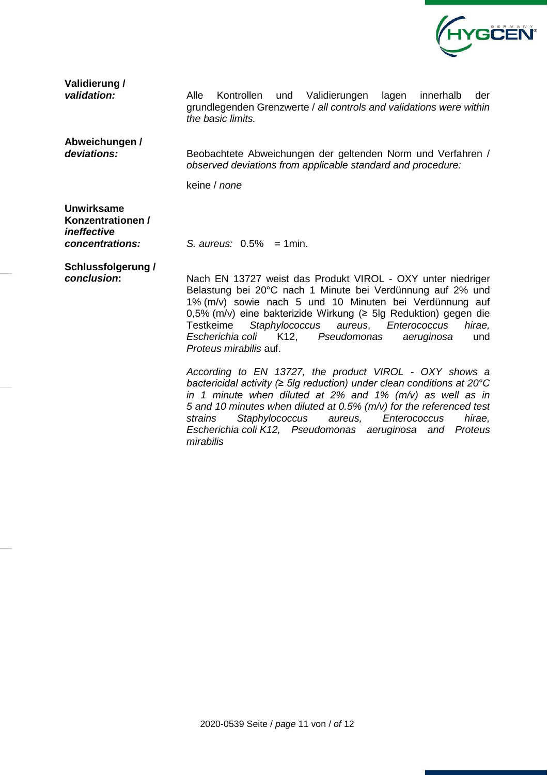

**Validierung /** 

*validation:* Alle Kontrollen und Validierungen lagen innerhalb der grundlegenden Grenzwerte / *all controls and validations were within the basic limits.*

**Abweichungen /** 

deviations: Beobachtete Abweichungen der geltenden Norm und Verfahren / *observed deviations from applicable standard and procedure:*

keine / *none*

**Unwirksame Konzentrationen /**  *ineffective* 

*concentrations: S. aureus:* 0.5% = 1min.

**Schlussfolgerung /** 

Nach EN 13727 weist das Produkt VIROL - OXY unter niedriger Belastung bei 20°C nach 1 Minute bei Verdünnung auf 2% und 1% (m/v) sowie nach 5 und 10 Minuten bei Verdünnung auf 0,5% (m/v) eine bakterizide Wirkung (≥ 5lg Reduktion) gegen die Testkeime *Staphylococcus aureus*, *Enterococcus hirae, Escherichia coli* K12, *Pseudomonas aeruginosa* und *Proteus mirabilis* auf.

*According to EN 13727, the product VIROL - OXY shows a bactericidal activity (≥ 5lg reduction) under clean conditions at 20°C in 1 minute when diluted at 2% and 1% (m/v) as well as in 5 and 10 minutes when diluted at 0.5% (m/v) for the referenced test strains Staphylococcus aureus, Enterococcus hirae, Escherichia coli K12, Pseudomonas aeruginosa and Proteus mirabilis*